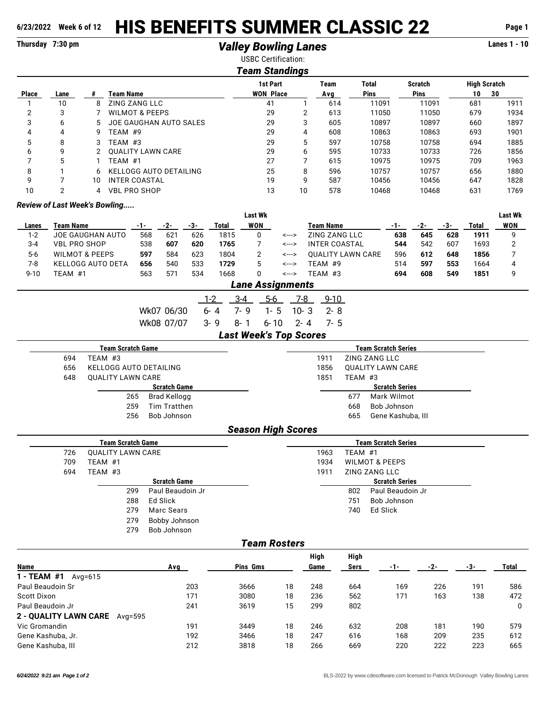## **6/23/2022 Week 6 of 12** HIS BENEFITS SUMMER CLASSIC 22 **Page 1**

## **Thursday 7:30 pm** *Valley Bowling Lanes* **Lanes 1 - 10**

|                |                                      |              |                               |            |                     |       |              | <b>USBC Certification:</b>    |          |                |                          |         |                            |                       |                |     |                     |                |
|----------------|--------------------------------------|--------------|-------------------------------|------------|---------------------|-------|--------------|-------------------------------|----------|----------------|--------------------------|---------|----------------------------|-----------------------|----------------|-----|---------------------|----------------|
|                |                                      |              |                               |            |                     |       |              | <b>Team Standings</b>         |          |                |                          |         |                            |                       |                |     |                     |                |
|                |                                      |              |                               |            |                     |       |              | <b>1st Part</b>               |          |                | <b>Team</b>              |         | <b>Total</b>               |                       | <b>Scratch</b> |     | <b>High Scratch</b> |                |
| <b>Place</b>   | Lane                                 | #            | <b>Team Name</b>              |            |                     |       |              | <b>WON Place</b>              |          |                | Avg                      |         | Pins                       |                       | Pins           |     | 10                  | 30             |
| 1              | 10                                   | 8            | <b>ZING ZANG LLC</b>          |            |                     |       |              | 41                            |          | 1              | 614                      |         | 11091                      |                       | 11091          |     | 681                 | 1911           |
| $\overline{2}$ | 3                                    | 7            | <b>WILMOT &amp; PEEPS</b>     |            |                     |       |              | 29                            |          | $\overline{2}$ | 613                      |         | 11050                      |                       | 11050          |     | 679                 | 1934           |
| 3              | 6                                    | 5            | JOE GAUGHAN AUTO SALES        |            |                     |       |              |                               | 29       | 3              | 605                      |         | 10897                      |                       | 10897          |     | 660                 | 1897           |
| 4              | 4                                    | 9            | TEAM #9                       |            |                     |       |              |                               | 29       | $\overline{4}$ | 608                      |         | 10863                      |                       | 10863          |     | 693                 | 1901           |
| 5              | 8                                    | 3            | TEAM #3                       |            |                     |       |              |                               | 29       | 5              | 597                      |         | 10758                      |                       | 10758          |     | 694                 | 1885           |
| 6              | 9                                    | 2            | <b>OUALITY LAWN CARE</b>      |            |                     |       |              |                               | 29       | 6              | 595                      |         | 10733                      |                       | 10733          |     | 726                 | 1856           |
| 7              | 5                                    | $\mathbf{1}$ | TEAM #1                       |            |                     |       |              |                               | 27       | $\overline{7}$ | 615                      |         | 10975                      |                       | 10975          |     | 709                 | 1963           |
| 8              | 1                                    | 6            | <b>KELLOGG AUTO DETAILING</b> |            |                     |       |              | 25                            |          | 8              | 596                      |         | 10757                      |                       | 10757          |     | 656                 | 1880           |
| 9              | 7                                    | 10           | <b>INTER COASTAL</b>          |            |                     |       |              |                               | 19       | 9              | 587                      |         | 10456                      |                       | 10456          |     | 647                 | 1828           |
| 10             | $\overline{2}$                       | 4            | <b>VBL PRO SHOP</b>           |            |                     |       |              | 13                            |          | 10             | 578                      |         | 10468                      |                       | 10468          |     | 631                 | 1769           |
|                | <b>Review of Last Week's Bowling</b> |              |                               |            |                     |       |              |                               |          |                |                          |         |                            |                       |                |     |                     |                |
|                |                                      |              |                               |            |                     |       |              | <b>Last Wk</b>                |          |                |                          |         |                            |                       |                |     |                     | <b>Last Wk</b> |
| Lanes          | <b>Team Name</b>                     |              |                               | $-1-$      | $-2-$               | $-3-$ | <b>Total</b> | <b>WON</b>                    |          |                | <b>Team Name</b>         |         |                            | $-1-$                 | $-2-$          | -3- | <b>Total</b>        | WON            |
| $1 - 2$        | JOE GAUGHAN AUTO                     |              |                               | 568        | 621                 | 626   | 1815         | 0                             | <--->    |                | ZING ZANG LLC            |         |                            | 638                   | 645            | 628 | 1911                | 9              |
| $3 - 4$        | <b>VBL PRO SHOP</b>                  |              |                               | 538        | 607                 | 620   | 1765         | 7                             | <--->    |                | <b>INTER COASTAL</b>     |         |                            | 544                   | 542            | 607 | 1693                | $\overline{c}$ |
| $5-6$          | <b>WILMOT &amp; PEEPS</b>            |              |                               | 597        | 584                 | 623   | 1804         | 2                             | <--->    |                | <b>OUALITY LAWN CARE</b> |         |                            | 596                   | 612            | 648 | 1856                | $\overline{7}$ |
| $7 - 8$        | <b>KELLOGG AUTO DETA</b>             |              |                               | 656        | 540                 | 533   | 1729         | 5                             | <--->    |                | TEAM #9                  |         |                            | 514                   | 597            | 553 | 1664                | 4              |
| $9 - 10$       | TEAM #1                              |              |                               | 563        | 571                 | 534   | 1668         | 0                             | <--->    |                | TEAM #3                  |         |                            | 694                   | 608            | 549 | 1851                | 9              |
|                |                                      |              |                               |            |                     |       |              | <b>Lane Assignments</b>       |          |                |                          |         |                            |                       |                |     |                     |                |
|                |                                      |              |                               |            |                     |       | $1 - 2$      | $3 - 4$                       | $5-6$    | 7-8            | $9 - 10$                 |         |                            |                       |                |     |                     |                |
|                |                                      |              |                               | Wk07 06/30 |                     |       | $6 - 4$      | $7 - 9$                       | $1 - 5$  | $10 - 3$       | $2 - 8$                  |         |                            |                       |                |     |                     |                |
|                |                                      |              |                               | Wk08 07/07 |                     |       | $3 - 9$      | $8 - 1$                       | $6 - 10$ | $2 - 4$        | $7 - 5$                  |         |                            |                       |                |     |                     |                |
|                |                                      |              |                               |            |                     |       |              | <b>Last Week's Top Scores</b> |          |                |                          |         |                            |                       |                |     |                     |                |
|                |                                      |              | <b>Team Scratch Game</b>      |            |                     |       |              |                               |          |                |                          |         | <b>Team Scratch Series</b> |                       |                |     |                     |                |
|                | 694                                  |              | TEAM #3                       |            |                     |       |              |                               |          |                | 1911                     |         | <b>ZING ZANG LLC</b>       |                       |                |     |                     |                |
|                | 656                                  |              | KELLOGG AUTO DETAILING        |            |                     |       |              |                               |          |                | 1856                     |         | <b>QUALITY LAWN CARE</b>   |                       |                |     |                     |                |
|                | 648                                  |              | <b>QUALITY LAWN CARE</b>      |            |                     |       |              |                               |          |                | 1851                     | TEAM #3 |                            |                       |                |     |                     |                |
|                |                                      |              |                               |            | <b>Scratch Game</b> |       |              |                               |          |                |                          |         |                            | <b>Scratch Series</b> |                |     |                     |                |
|                |                                      |              | 265                           |            | <b>Brad Kellogg</b> |       |              |                               |          |                |                          | 677     | <b>Mark Wilmot</b>         |                       |                |     |                     |                |
|                |                                      |              | 259                           |            | <b>Tim Tratthen</b> |       |              |                               |          |                |                          | 668     | Bob Johnson                |                       |                |     |                     |                |
|                |                                      |              | 256                           |            | <b>Bob Johnson</b>  |       |              |                               |          |                |                          | 665     | Gene Kashuba, III          |                       |                |     |                     |                |
|                |                                      |              |                               |            |                     |       |              | <b>Season High Scores</b>     |          |                |                          |         |                            |                       |                |     |                     |                |
|                |                                      |              | <b>Team Scratch Game</b>      |            |                     |       |              |                               |          |                |                          |         | <b>Team Scratch Series</b> |                       |                |     |                     |                |

|     | Team Scratch Game |                     | <b>Team Scratch Series</b> |         |                           |  |  |  |  |
|-----|-------------------|---------------------|----------------------------|---------|---------------------------|--|--|--|--|
| 726 | QUALITY LAWN CARE |                     | 1963                       | TEAM #1 |                           |  |  |  |  |
| 709 | TEAM #1           |                     | 1934                       |         | <b>WILMOT &amp; PEEPS</b> |  |  |  |  |
| 694 | TEAM #3           |                     | 1911                       |         | <b>ZING ZANG LLC</b>      |  |  |  |  |
|     |                   | <b>Scratch Game</b> |                            |         | <b>Scratch Series</b>     |  |  |  |  |
|     | 299               | Paul Beaudoin Jr    |                            | 802     | Paul Beaudoin Jr          |  |  |  |  |
|     | 288               | Ed Slick            |                            | 751     | Bob Johnson               |  |  |  |  |
|     | 279               | Marc Sears          |                            | 740     | Ed Slick                  |  |  |  |  |
|     | 279               | Bobby Johnson       |                            |         |                           |  |  |  |  |
|     | 279               | Bob Johnson         |                            |         |                           |  |  |  |  |

## *Team Rosters*

|                                         |     |          |    | High | High |     |       |     |       |
|-----------------------------------------|-----|----------|----|------|------|-----|-------|-----|-------|
| <b>Name</b>                             | Avg | Pins Gms |    | Game | Sers | -1- | $-2-$ | -3- | Total |
| 1 - TEAM #1<br>Avg=615                  |     |          |    |      |      |     |       |     |       |
| Paul Beaudoin Sr                        | 203 | 3666     | 18 | 248  | 664  | 169 | 226   | 191 | 586   |
| Scott Dixon                             | 171 | 3080     | 18 | 236  | 562  | 171 | 163   | 138 | 472   |
| Paul Beaudoin Jr                        | 241 | 3619     | 15 | 299  | 802  |     |       |     | 0     |
| <b>2 - QUALITY LAWN CARE</b><br>Avg=595 |     |          |    |      |      |     |       |     |       |
| Vic Gromandin                           | 191 | 3449     | 18 | 246  | 632  | 208 | 181   | 190 | 579   |
| Gene Kashuba, Jr.                       | 192 | 3466     | 18 | 247  | 616  | 168 | 209   | 235 | 612   |
| Gene Kashuba, III                       | 212 | 3818     | 18 | 266  | 669  | 220 | 222   | 223 | 665   |